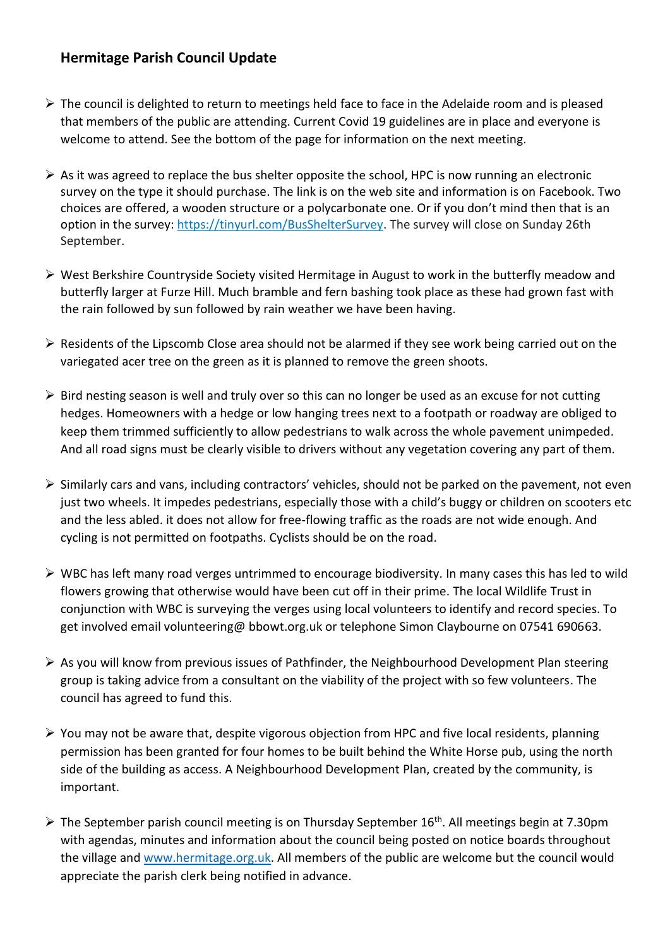## **Hermitage Parish Council Update**

- $\triangleright$  The council is delighted to return to meetings held face to face in the Adelaide room and is pleased that members of the public are attending. Current Covid 19 guidelines are in place and everyone is welcome to attend. See the bottom of the page for information on the next meeting.
- $\triangleright$  As it was agreed to replace the bus shelter opposite the school, HPC is now running an electronic survey on the type it should purchase. The link is on the web site and information is on Facebook. Two choices are offered, a wooden structure or a polycarbonate one. Or if you don't mind then that is an option in the survey: [https://tinyurl.com/BusShelterSurvey.](https://tinyurl.com/BusShelterSurvey) The survey will close on Sunday 26th September.
- $\triangleright$  West Berkshire Countryside Society visited Hermitage in August to work in the butterfly meadow and butterfly larger at Furze Hill. Much bramble and fern bashing took place as these had grown fast with the rain followed by sun followed by rain weather we have been having.
- $\triangleright$  Residents of the Lipscomb Close area should not be alarmed if they see work being carried out on the variegated acer tree on the green as it is planned to remove the green shoots.
- $\triangleright$  Bird nesting season is well and truly over so this can no longer be used as an excuse for not cutting hedges. Homeowners with a hedge or low hanging trees next to a footpath or roadway are obliged to keep them trimmed sufficiently to allow pedestrians to walk across the whole pavement unimpeded. And all road signs must be clearly visible to drivers without any vegetation covering any part of them.
- $\triangleright$  Similarly cars and vans, including contractors' vehicles, should not be parked on the pavement, not even just two wheels. It impedes pedestrians, especially those with a child's buggy or children on scooters etc and the less abled. it does not allow for free-flowing traffic as the roads are not wide enough. And cycling is not permitted on footpaths. Cyclists should be on the road.
- $\triangleright$  WBC has left many road verges untrimmed to encourage biodiversity. In many cases this has led to wild flowers growing that otherwise would have been cut off in their prime. The local Wildlife Trust in conjunction with WBC is surveying the verges using local volunteers to identify and record species. To get involved email volunteering@ bbowt.org.uk or telephone Simon Claybourne on 07541 690663.
- $\triangleright$  As you will know from previous issues of Pathfinder, the Neighbourhood Development Plan steering group is taking advice from a consultant on the viability of the project with so few volunteers. The council has agreed to fund this.
- $\triangleright$  You may not be aware that, despite vigorous objection from HPC and five local residents, planning permission has been granted for four homes to be built behind the White Horse pub, using the north side of the building as access. A Neighbourhood Development Plan, created by the community, is important.
- $\triangleright$  The September parish council meeting is on Thursday September 16<sup>th</sup>. All meetings begin at 7.30pm with agendas, minutes and information about the council being posted on notice boards throughout the village and [www.hermitage.org.uk.](http://www.hermitage.org.uk/) All members of the public are welcome but the council would appreciate the parish clerk being notified in advance.